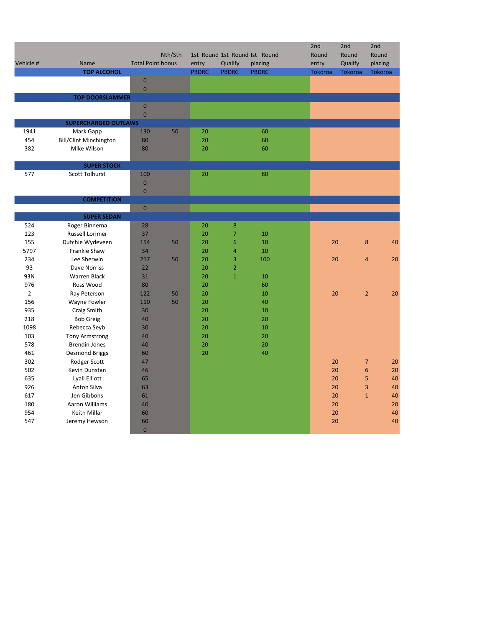|                |                                    |                          |         |              |                                |                               | 2nd     | 2nd     | 2nd                           |
|----------------|------------------------------------|--------------------------|---------|--------------|--------------------------------|-------------------------------|---------|---------|-------------------------------|
|                |                                    |                          | Nth/Sth |              |                                | 1st Round 1st Round Ist Round | Round   | Round   | Round                         |
| Vehicle #      | Name                               | <b>Total Point bonus</b> |         | entry        | Qualify                        | placing                       | entry   | Qualify | placing                       |
|                | <b>TOP ALCOHOL</b>                 |                          |         | <b>PBDRC</b> | <b>PBDRC</b>                   | <b>PBDRC</b>                  | Tokoroa | Tokoroa | Tokoroa                       |
|                |                                    | $\bf 0$                  |         |              |                                |                               |         |         |                               |
|                |                                    | $\bf 0$                  |         |              |                                |                               |         |         |                               |
|                | <b>TOP DOORSLAMMER</b>             |                          |         |              |                                |                               |         |         |                               |
|                |                                    | $\pmb{0}$<br>$\mathbf 0$ |         |              |                                |                               |         |         |                               |
|                | <b>SUPERCHARGED OUTLAWS</b>        |                          |         |              |                                |                               |         |         |                               |
| 1941           | Mark Gapp                          | 130                      | 50      | 20           |                                | 60                            |         |         |                               |
| 454            | <b>Bill/Clint Minchington</b>      | 80                       |         | 20           |                                | 60                            |         |         |                               |
| 382            | Mike Wilson                        | 80                       |         | 20           |                                | 60                            |         |         |                               |
|                |                                    |                          |         |              |                                |                               |         |         |                               |
|                | <b>SUPER STOCK</b>                 |                          |         |              |                                |                               |         |         |                               |
| 577            | <b>Scott Tolhurst</b>              | 100                      |         | 20           |                                | 80                            |         |         |                               |
|                |                                    | $\pmb{0}$                |         |              |                                |                               |         |         |                               |
|                |                                    | $\overline{0}$           |         |              |                                |                               |         |         |                               |
|                | <b>COMPETITION</b>                 |                          |         |              |                                |                               |         |         |                               |
|                |                                    | $\mathbf 0$              |         |              |                                |                               |         |         |                               |
|                | <b>SUPER SEDAN</b>                 |                          |         |              |                                |                               |         |         |                               |
| 524            | Roger Binnema                      | 28                       |         | 20           | $\bf 8$                        |                               |         |         |                               |
| 123            | <b>Russell Lorimer</b>             | 37                       |         | 20           | 7                              | 10                            |         |         |                               |
| 155            | Dutchie Wydeveen                   | 154                      | 50      | 20           | 6                              | 10                            |         | 20      | $\bf 8$<br>40                 |
| 5797           | Frankie Shaw                       | 34                       |         | 20           | 4                              | 10                            |         |         |                               |
| 234<br>93      | Lee Sherwin<br><b>Dave Norriss</b> | 217<br>22                | 50      | 20           | 3                              | 100                           |         | 20      | 20<br>$\overline{4}$          |
| 93N            | <b>Warren Black</b>                | 31                       |         | 20<br>20     | $\overline{2}$<br>$\mathbf{1}$ | 10                            |         |         |                               |
| 976            | Ross Wood                          | 80                       |         | 20           |                                | 60                            |         |         |                               |
| $\overline{2}$ | Ray Peterson                       | 122                      | 50      | 20           |                                | 10                            |         | 20      | $\overline{2}$<br>20          |
| 156            | Wayne Fowler                       | 110                      | 50      | 20           |                                | 40                            |         |         |                               |
| 935            | Craig Smith                        | 30                       |         | 20           |                                | 10                            |         |         |                               |
| 218            | <b>Bob Greig</b>                   | 40                       |         | 20           |                                | 20                            |         |         |                               |
| 1098           | Rebecca Seyb                       | 30                       |         | 20           |                                | $10\,$                        |         |         |                               |
| 103            | <b>Tony Armstrong</b>              | 40                       |         | 20           |                                | 20                            |         |         |                               |
| 578            | <b>Brendin Jones</b>               | 40                       |         | 20           |                                | 20                            |         |         |                               |
| 461            | <b>Desmond Briggs</b>              | 60                       |         | 20           |                                | 40                            |         |         |                               |
| 302            | Rodger Scott                       | 47                       |         |              |                                |                               |         | 20      | $\overline{7}$<br>20          |
| 502            | Kevin Dunstan                      | 46                       |         |              |                                |                               |         | 20      | $\boldsymbol{6}$<br>20        |
| 635            | Lyall Elliott                      | 65                       |         |              |                                |                               |         | 20      | $\overline{5}$<br>40          |
| 926            | Anton Silva                        | 63                       |         |              |                                |                               |         | 20      | $\overline{\mathbf{3}}$<br>40 |
| 617            | Jen Gibbons                        | 61                       |         |              |                                |                               |         | 20      | $\mathbf 1$<br>40             |
| 180            | Aaron Williams                     | 40                       |         |              |                                |                               |         | 20      | 20                            |
| 954            | Keith Millar                       | 60                       |         |              |                                |                               |         | 20      | 40                            |
| 547            | Jeremy Hewson                      | 60                       |         |              |                                |                               |         | 20      | 40                            |
|                |                                    | $\pmb{0}$                |         |              |                                |                               |         |         |                               |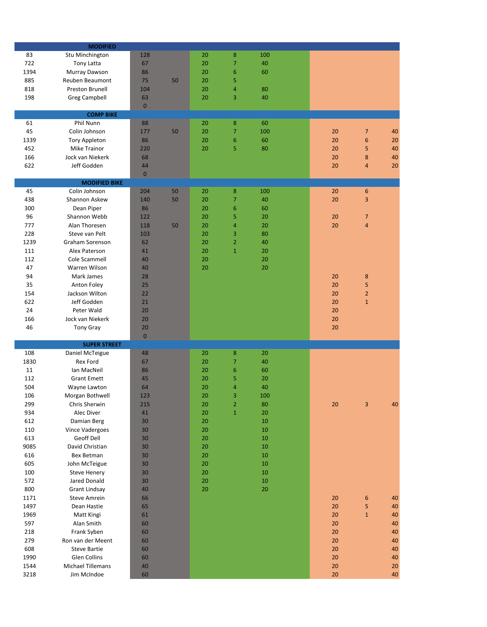|      | <b>MODIFIED</b>          |              |    |    |                         |     |    |                         |    |
|------|--------------------------|--------------|----|----|-------------------------|-----|----|-------------------------|----|
| 83   | Stu Minchington          | 128          |    | 20 | 8                       | 100 |    |                         |    |
| 722  | <b>Tony Latta</b>        | 67           |    | 20 | 7                       | 40  |    |                         |    |
| 1394 | Murray Dawson            | 86           |    | 20 | 6                       | 60  |    |                         |    |
| 885  | Reuben Beaumont          | 75           | 50 | 20 | 5                       |     |    |                         |    |
| 818  | Preston Brunell          | 104          |    | 20 | $\overline{\mathbf{4}}$ | 80  |    |                         |    |
| 198  | <b>Greg Campbell</b>     | 63           |    | 20 | 3                       | 40  |    |                         |    |
|      |                          | $\mathbf{0}$ |    |    |                         |     |    |                         |    |
|      | <b>COMP BIKE</b>         |              |    |    |                         |     |    |                         |    |
| 61   | Phil Nunn                | 88           |    | 20 | 8                       | 60  |    |                         |    |
| 45   | Colin Johnson            | 177          | 50 | 20 | $\overline{7}$          | 100 | 20 | $\overline{7}$          | 40 |
| 1339 | <b>Tory Appleton</b>     | 86           |    | 20 | 6                       | 60  | 20 | $\boldsymbol{6}$        | 20 |
| 452  | <b>Mike Trainor</b>      | 220          |    | 20 | 5                       | 80  | 20 | 5                       | 40 |
| 166  | Jock van Niekerk         | 68           |    |    |                         |     | 20 | 8                       | 40 |
| 622  | Jeff Godden              | 44           |    |    |                         |     | 20 | $\overline{a}$          | 20 |
|      |                          | $\pmb{0}$    |    |    |                         |     |    |                         |    |
|      | <b>MODIFIED BIKE</b>     |              |    |    |                         |     |    |                         |    |
| 45   | Colin Johnson            | 204          | 50 | 20 | 8                       | 100 | 20 | $\boldsymbol{6}$        |    |
| 438  | Shannon Askew            | 140          | 50 | 20 | 7                       | 40  | 20 | 3                       |    |
| 300  | Dean Piper               | 86           |    | 20 | 6                       | 60  |    |                         |    |
| 96   | Shannon Webb             | 122          |    | 20 | 5                       | 20  | 20 | $\overline{7}$          |    |
| 777  | Alan Thoresen            | 118          | 50 | 20 | 4                       | 20  | 20 | $\overline{\mathbf{4}}$ |    |
| 228  | Steve van Pelt           | 103          |    | 20 | 3                       | 80  |    |                         |    |
| 1239 | Graham Sorenson          | 62           |    | 20 | $\overline{2}$          | 40  |    |                         |    |
| 111  | Alex Paterson            | 41           |    | 20 | $\mathbf 1$             | 20  |    |                         |    |
| 112  | Cole Scammell            | 40           |    | 20 |                         | 20  |    |                         |    |
| 47   | Warren Wilson            | 40           |    | 20 |                         | 20  |    |                         |    |
| 94   | Mark James               | 28           |    |    |                         |     | 20 | $\bf 8$                 |    |
| 35   | Anton Foley              | 25           |    |    |                         |     | 20 |                         |    |
| 154  | Jackson Wilton           | 22           |    |    |                         |     | 20 | 5<br>$\overline{2}$     |    |
| 622  | Jeff Godden              |              |    |    |                         |     |    |                         |    |
|      |                          | 21           |    |    |                         |     | 20 | $\mathbf{1}$            |    |
| 24   | Peter Wald               | 20           |    |    |                         |     | 20 |                         |    |
| 166  | Jock van Niekerk         | 20           |    |    |                         |     | 20 |                         |    |
| 46   | <b>Tony Gray</b>         | 20           |    |    |                         |     | 20 |                         |    |
|      | <b>SUPER STREET</b>      | $\mathbf 0$  |    |    |                         |     |    |                         |    |
| 108  | Daniel McTeigue          | 48           |    | 20 | 8                       | 20  |    |                         |    |
| 1830 | Rex Ford                 | 67           |    | 20 | 7                       | 40  |    |                         |    |
| 11   | Ian MacNeil              | 86           |    | 20 | 6                       | 60  |    |                         |    |
| 112  | <b>Grant Emett</b>       | 45           |    | 20 | 5                       | 20  |    |                         |    |
| 504  | Wayne Lawton             | 64           |    | 20 | 4                       | 40  |    |                         |    |
| 106  | Morgan Bothwell          | 123          |    | 20 | 3                       | 100 |    |                         |    |
|      | Chris Sherwin            |              |    |    |                         | 80  |    |                         | 40 |
| 299  |                          | 215          |    | 20 | $\overline{2}$          |     | 20 | 3                       |    |
| 934  | Alec Diver               | 41           |    | 20 | $\mathbf{1}$            | 20  |    |                         |    |
| 612  | Damian Berg              | 30           |    | 20 |                         | 10  |    |                         |    |
| 110  | Vince Vadergoes          | 30           |    | 20 |                         | 10  |    |                         |    |
| 613  | Geoff Dell               | 30           |    | 20 |                         | 10  |    |                         |    |
| 9085 | David Christian          | 30           |    | 20 |                         | 10  |    |                         |    |
| 616  | Bex Betman               | 30           |    | 20 |                         | 10  |    |                         |    |
| 605  | John McTeigue            | 30           |    | 20 |                         | 10  |    |                         |    |
| 100  | <b>Steve Henery</b>      | 30           |    | 20 |                         | 10  |    |                         |    |
| 572  | Jared Donald             | 30           |    | 20 |                         | 10  |    |                         |    |
| 800  | <b>Grant Lindsay</b>     | 40           |    | 20 |                         | 20  |    |                         |    |
| 1171 | <b>Steve Amrein</b>      | 66           |    |    |                         |     | 20 | $\boldsymbol{6}$        | 40 |
| 1497 | Dean Hastie              | 65           |    |    |                         |     | 20 | 5                       | 40 |
| 1969 | Matt Kingi               | 61           |    |    |                         |     | 20 | $\mathbf{1}$            | 40 |
| 597  | Alan Smith               | 60           |    |    |                         |     | 20 |                         | 40 |
| 218  | Frank Syben              | 60           |    |    |                         |     | 20 |                         | 40 |
| 279  | Ron van der Meent        | 60           |    |    |                         |     | 20 |                         | 40 |
| 608  | <b>Steve Bartie</b>      | 60           |    |    |                         |     | 20 |                         | 40 |
| 1990 | <b>Glen Collins</b>      | 60           |    |    |                         |     | 20 |                         | 40 |
| 1544 | <b>Michael Tillemans</b> | 40           |    |    |                         |     | 20 |                         | 20 |
| 3218 | Jim McIndoe              | 60           |    |    |                         |     | 20 |                         | 40 |